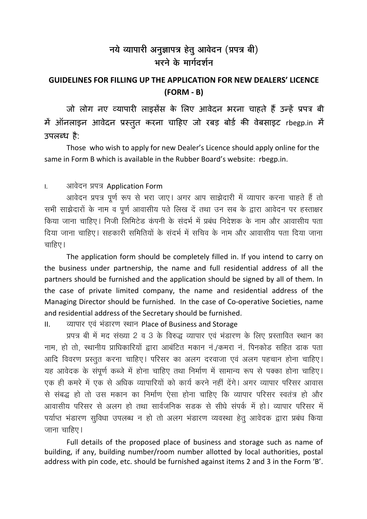## नये व्यापारी अनुज्ञापत्र हेतु आवेदन (प्रपत्र बी) भरने के मार्गदर्शन

## **GUIDELINES FOR FILLING UP THE APPLICATION FOR NEW DEALERS' LICENCE**  $(FORM - B)$

जो लोग नए व्यापारी लाइसेंस के लिए आवेदन भरना चाहते हैं उन्हें प्रपत्र बी में ऑनलाइन आवेदन प्रस्तुत करना चाहिए जो रबड़ बोर्ड की वेबसाइट rbegp.in में उपलब्ध $\,$ है:

Those who wish to apply for new Dealer's Licence should apply online for the same in Form B which is available in the Rubber Board's website: rbegp.in.

## आवेदन प्रपत्र Application Form  $\overline{L}$

आवेदन प्रपत्र पूर्ण रूप से भरा जाए। अगर आप साझेदारी में व्यापार करना चाहते हैं तो सभी साझेदारों के नाम व पूर्ण आवासीय पते लिख दें तथा उन सब के द्वारा आवेदन पर हस्ताक्षर किया जाना चाहिए। निजी लिमिटेड कंपनी के संदर्भ में प्रबंध निदेशक के नाम और आवासीय पता दिया जाना चाहिए। सहकारी समितियों के संदर्भ में सचिव के नाम और आवासीय पता दिया जाना चाहिए।

The application form should be completely filled in. If you intend to carry on the business under partnership, the name and full residential address of all the partners should be furnished and the application should be signed by all of them. In the case of private limited company, the name and residential address of the Managing Director should be furnished. In the case of Co-operative Societies, name and residential address of the Secretary should be furnished.

व्यापार एवं भंडारण स्थान Place of Business and Storage  $\mathbf{H}$ 

प्रपत्र बी में मद संख्या 2 व 3 के विरुद्ध व्यापार एवं भंडारण के लिए प्रस्तावित स्थान का नाम, हो तो, स्थानीय प्राधिकारियों द्वारा आबंटित मकान नं./कमरा नं. पिनकोड सहित डाक पता आदि विवरण प्रस्तुत करना चाहिए। परिसर का अलग दरवाजा एवं अलग पहचान होना चाहिए। यह आवेदक के संपूर्ण कब्जे में होना चाहिए तथा निर्माण में सामान्य रूप से पक्का होना चाहिए। एक ही कमरे में एक से अधिक व्यापारियों को कार्य करने नहीं देंगे। अगर व्यापार परिसर आवास से संबद्ध हो तो उस मकान का निर्माण ऐसा होना चाहिए कि व्यापार परिसर स्वतंत्र हो और आवासीय परिसर से अलग हो तथा सार्वजनिक सड़क से सीधे संपर्क में हो। व्यापार परिसर में पर्याप्त भंडारण सुविधा उपलब्ध न हो तो अलग भंडारण व्यवस्था हेतू आवेदक द्वारा प्रबंध किया जाना चाहिए।

Full details of the proposed place of business and storage such as name of building, if any, building number/room number allotted by local authorities, postal address with pin code, etc. should be furnished against items 2 and 3 in the Form 'B'.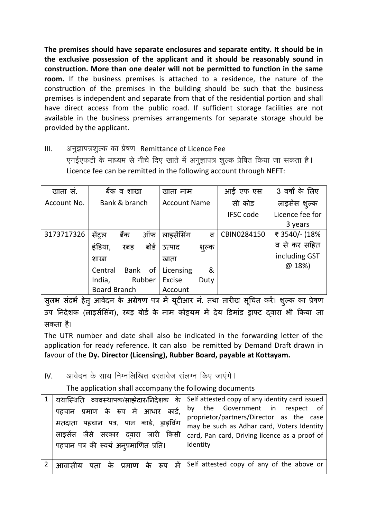**The premises should have separate enclosures and separate entity. It should be in the exclusive possession of the applicant and it should be reasonably sound in construction. More than one dealer will not be permitted to function in the same room.** If the business premises is attached to a residence, the nature of the construction of the premises in the building should be such that the business premises is independent and separate from that of the residential portion and shall have direct access from the public road. If sufficient storage facilities are not available in the business premises arrangements for separate storage should be provided by the applicant.

III. + अनुज्ञापत्रशूल्क का प्रेषण Remittance of Licence Fee एनईएफटी के माध्यम से नीचे दिए खाते में अनुज्ञापत्र शुल्क प्रेषित किया जा सकता है। Licence fee can be remitted in the following account through NEFT:

| खाता स.     | बैंक व शाखा              | खाता नाम              | आई एफ एस         | 3 वर्षों के लिए |
|-------------|--------------------------|-----------------------|------------------|-----------------|
| Account No. | Bank & branch            | <b>Account Name</b>   | सी कोड           | लाइसेंस शुल्क   |
|             |                          |                       | <b>IFSC code</b> | Licence fee for |
|             |                          |                       |                  | 3 years         |
| 3173717326  | ऑफ<br>सेंटल<br>बैंक      | लाइसेंसिंग<br>ਰ       | CBIN0284150      | ₹ 3540/- (18%   |
|             | बोर्ड<br>इंडिया,<br>रबड़ | उत्पाद<br>शुल्क       |                  | व से कर सहित    |
|             | शाखा                     | खाता                  |                  | including GST   |
|             | Bank<br>Central<br>0f    | &<br>Licensing        |                  | @ 18%)          |
|             | Rubber<br>India,         | <b>Excise</b><br>Duty |                  |                 |
|             | <b>Board Branch</b>      | Account               |                  |                 |

सुलभ सदभे हेतु आवेदन के अग्रेषण पत्र में यूटीआर नं. तथा तारीख सूचित करें। शुल्क का प्रेषण उप निदेशक (लाइसेंसिंग), रबड़ बोर्ड के नाम कोइयम में देय डिमांड ड्राफ्ट दवारा भी किया जा सकता है।

The UTR number and date shall also be indicated in the forwarding letter of the application for ready reference. It can also be remitted by Demand Draft drawn in favour of the **Dy. Director (Licensing), Rubber Board, payable at Kottayam.** 

IV. + आवेदन के साथ निम्नलिखित दस्तावेज संलग्न किए जाएंगे।

The application shall accompany the following documents

| प्रमाण के रूप में आधार कार्ड,<br>पहचान<br>पहचान पत्र, पान कार्ड, ड्राइविंग<br>मतदाता<br>लाइसेंस जैसे सरकार दवारा जारी किसी<br>पहचान पत्र की स्वयं अनूप्रमाणित प्रति। | यथास्थिति व्यवस्थापक/साझेदार/निदेशक के Self attested copy of any identity card issued<br>by the Government in respect of<br>proprietor/partners/Director as the case<br>may be such as Adhar card, Voters Identity<br>card, Pan card, Driving licence as a proof of<br>identity |
|----------------------------------------------------------------------------------------------------------------------------------------------------------------------|---------------------------------------------------------------------------------------------------------------------------------------------------------------------------------------------------------------------------------------------------------------------------------|
|                                                                                                                                                                      | पता के प्रमाण के रूप में Self attested copy of any of the above or                                                                                                                                                                                                              |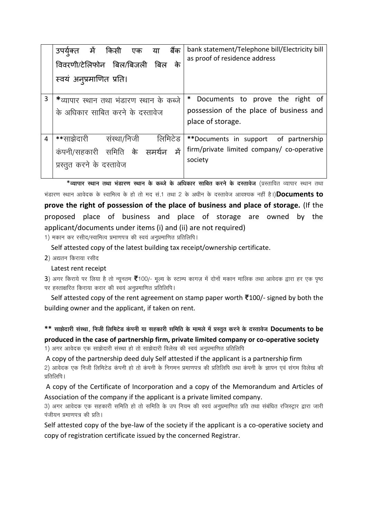|   | बैंक<br>में<br>किसी<br>या<br>एक<br>उपयेक्त<br>विवरणी/टेलिफोन बिल/बिजली<br>के<br>बिल<br>स्वयं अनुप्रमाणित प्रति। | bank statement/Telephone bill/Electricity bill<br>as proof of residence address |
|---|-----------------------------------------------------------------------------------------------------------------|---------------------------------------------------------------------------------|
| 3 | *व्यापार स्थान तथा भंडारण स्थान के कब्जे                                                                        | Documents to prove the right of                                                 |
|   | के अधिकार साबित करने के दस्तावेज                                                                                | possession of the place of business and                                         |
|   |                                                                                                                 | place of storage.                                                               |
| 4 | **साझेदारी<br>संस्था/निजी<br>लिमिटेड                                                                            | **Documents in support of partnership                                           |
|   |                                                                                                                 | firm/private limited company/ co-operative                                      |
|   | में<br>कंपनी/सहकारी समिति के समर्थन                                                                             |                                                                                 |
|   | प्रस्तुत करने के दस्तावेज                                                                                       | society                                                                         |

\*व्यापार स्थान तथा भंडारण स्थान के कब्जे के अधिकार साबित करने के दस्तावेज (प्रस्तावित व्यापार स्थान तथा भंडारण स्थान आवेदक के स्वामित्व के हो तो मद सं 1 तथा 2 के अधीन के दस्तावेज आवश्यक नहीं है।)**Documents to** prove the right of possession of the place of business and place of storage. (If the proposed place of business and place of storage are owned by the applicant/documents under items (i) and (ii) are not required)

1) मकान कर रसीद/स्वामित्व प्रमाणपत्र की स्वयं अनुप्रमाणित प्रतिलिपि ।

Self attested copy of the latest building tax receipt/ownership certificate.

2) अद्यतन किराया रसीद

Latest rent receipt

3) अगर किराये पर लिया है तो न्यूनतम ₹100/- मूल्य के स्टाम्प कागज़ में दोनों मकान मालिक तथा आवेदक द्वारा हर एक पृष्ठ पर हस्ताक्षरित किराया करार की स्वयं अनुप्रमाणित प्रतिलिपि।

Self attested copy of the rent agreement on stamp paper worth ₹100/- signed by both the building owner and the applicant, if taken on rent.

\*\* साझेदारी संस्था, निजी लिमिटेड कंपनी या सहकारी समिति के मामले में प्रस्तुत करने के दस्तावेज Documents to be produced in the case of partnership firm, private limited company or co-operative society 1) अगर आवेदक एक साझेदारी संस्था हो तो साझेदारी विलेख की स्वयं अनुप्रमाणित प्रतिलिपि

A copy of the partnership deed duly Self attested if the applicant is a partnership firm

2) आवेदक एक निजी लिमिटेड कंपनी हो तो कंपनी के निगमन प्रमाणपत्र की प्रतिलिपि तथा कंपनी के ज्ञापन एवं संगम विलेख की प्रतिलिपि ।

A copy of the Certificate of Incorporation and a copy of the Memorandum and Articles of Association of the company if the applicant is a private limited company.

3) अगर आवेदक एक सहकारी समिति हो तो समिति के उप नियम की स्वयं अनुप्रमाणित प्रति तथा संबंधित रजिस्ट्रार द्वारा जारी पंजीयन प्रमाणपत्र की प्रति।

Self attested copy of the bye-law of the society if the applicant is a co-operative society and copy of registration certificate issued by the concerned Registrar.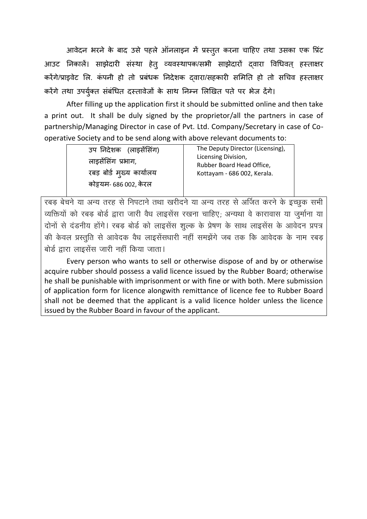आवेदन भरने के बाद उसे पहले ऑनलाइन में प्रस्तुत करना चाहिए तथा उसका एक प्रिंट आउट निकालें। साझेदारी संस्था हेत् व्यवस्थापक/सभी साझेदारों दवारा विधिवत् हस्ताक्षर करेंगे/प्राइवेट लि. कंपनी हो तो प्रबंधक निदेशक द्वारा/सहकारी समिति हो तो सचिव हस्ताक्षर करेंगे तथा उपर्युक्त संबंधित दस्तावेजों के साथ निम्न लिखित पते पर भेज देंगे।

After filling up the application first it should be submitted online and then take a print out. It shall be duly signed by the proprietor/all the partners in case of partnership/Managing Director in case of Pvt. Ltd. Company/Secretary in case of Cooperative Society and to be send along with above relevant documents to:

| उप निदेशक (लाइसेंसिंग)    | The Deputy Director (Licensing),                 |  |
|---------------------------|--------------------------------------------------|--|
| लाइसेंसिंग प्रभाग,        | Licensing Division,<br>Rubber Board Head Office, |  |
| रबड़ बोर्ड मुख्य कार्यालय | Kottayam - 686 002, Kerala.                      |  |
| कोइयम- 686 002, केरल      |                                                  |  |

.<br>रबड़ बेचने या अन्य तरह से निपटाने तथा खरीदने या अन्य तरह से अर्जित करने के इच्छुक सभी व्यक्तियों को रबड़ बोर्ड द्वारा जारी वैध लाइसेंस रखना चाहिए; अन्यथा वे कारावास या जुर्माना या दोनों से दंडनीय होंगे। रबड़ बोर्ड को लाइसेंस शुल्क के प्रेषण के साथ लाइसेंस के आवेदन प्रपत्र की केवल प्रस्तुति से आवेदक वैध लाइसेंसधारी नहीं समझेंगे जब तक कि आवेदक के नाम रबड़ बोर्ड द्वारा लाइसेंस जारी नहीं किया जाता।

Every person who wants to sell or otherwise dispose of and by or otherwise acquire rubber should possess a valid licence issued by the Rubber Board; otherwise he shall be punishable with imprisonment or with fine or with both. Mere submission of application form for licence alongwith remittance of licence fee to Rubber Board shall not be deemed that the applicant is a valid licence holder unless the licence issued by the Rubber Board in favour of the applicant.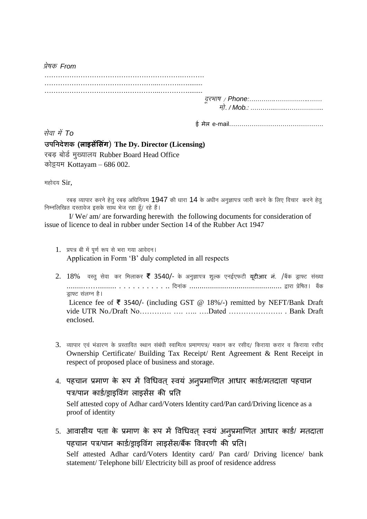$\frac{\partial u}{\partial \sigma}$  From

सेवा में To उपनिदेशक (लाइसेंसिंग) The Dy. Director (Licensing) रबड़ बोर्ड मुख्यालय Rubber Board Head Office कोट्टयम Kottayam – 686 002.

महोदय Sir.

रबड़ व्यापार करने हेतु रबड़ अधिनियम 1947 की धारा 14 के अधीन अनुज्ञापत्र जारी करने के लिए विचार करने हेतु निम्नलिखित दस्तावेज इसके साथ भेज रहा हैं/ रहे हैं।

I/We/am/are forwarding herewith the following documents for consideration of issue of licence to deal in rubber under Section 14 of the Rubber Act 1947

- 1. प्रपत्र बी में पूर्ण रूप से भरा गया आवेदन। Application in Form 'B' duly completed in all respects
- 2. 18% वस्तु सेवा कर मिलाकर ₹ 3540/- के अनुज्ञापत्र शुल्क एनईएफटी यूटीआर नं. /बैंक ड्राफ्ट संख्या डाफ्ट संलग्न है। Licence fee of ₹ 3540/- (including GST @ 18%/-) remitted by NEFT/Bank Draft enclosed.
- 3. व्यापार एवं भंडारण के प्रस्तावित स्थान संबंधी स्वामित्व प्रमाणपत्र/ मकान कर रसीद/ किराया करार व किराया रसीद Ownership Certificate/ Building Tax Receipt/ Rent Agreement & Rent Receipt in respect of proposed place of business and storage.
- 4. पहचान प्रमाण के रूप में विधिवत् स्वयं अन्पप्रमाणित आधार कार्ड/मतदाता पहचान पत्र/पान कार्ड/डाडविंग लाडसेंस की प्रति Self attested copy of Adhar card/Voters Identity card/Pan card/Driving licence as a proof of identity
- 5. आवासीय पता के प्रमाण के रूप में विधिवत् स्वयं अनूप्रमाणित आधार कार्ड/ मतदाता पहचान पत्र/पान कार्ड/डाडविंग लाडसेंस/बैंक विवरणी की प्रति।

Self attested Adhar card/Voters Identity card/ Pan card/ Driving licence/ bank statement/Telephone bill/Electricity bill as proof of residence address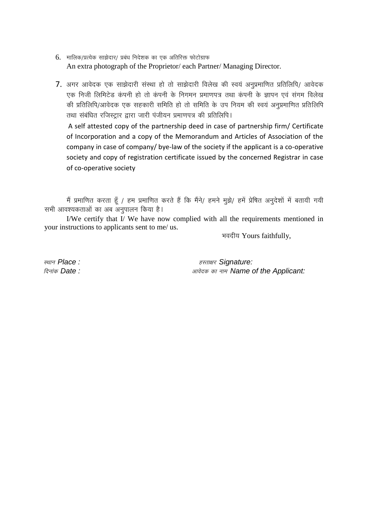- 6. मालिक/प्रत्येक साझेदार/ प्रबंध निदेशक का एक अतिरिक्त फोटोग्राफ An extra photograph of the Proprietor/ each Partner/ Managing Director.
- 7. अगर आवेदक एक साझेदारी संस्था हो तो साझेदारी विलेख की स्वयं अनप्रमाणित प्रतिलिपि/ आवेदक एक निजी लिमिटेड कंपनी हो तो कंपनी के निगमन प्रमाणपत्र तथा कंपनी के ज्ञापन एवं संगम विलेख की प्रतिलिपि/आवेदक एक सहकारी समिति हो तो समिति के उप नियम की स्वयं अनुप्रमाणित प्रतिलिपि तथा संबंधित रजिस्ट्रार द्वारा जारी पंजीयन प्रमाणपत्र की प्रतिलिपि।

A self attested copy of the partnership deed in case of partnership firm/ Certificate of Incorporation and a copy of the Memorandum and Articles of Association of the company in case of company/ bye-law of the society if the applicant is a co-operative society and copy of registration certificate issued by the concerned Registrar in case of co-operative society

मैं प्रमाणित करता हूँ / हम प्रमाणित करते हैं कि मैंने/ हमने मुझे/ हमें प्रेषित अनुदेशों में बतायी गयी सभी आवश्यकताओं का अब अनुपालन किया है।

I/We certify that I/We have now complied with all the requirements mentioned in your instructions to applicants sent to me/ us.

भवदीय Yours faithfully,

स्थान Place: दिनांक **Date:** 

हस्ताक्षर Signature: आवेदक का नाम Name of the Applicant: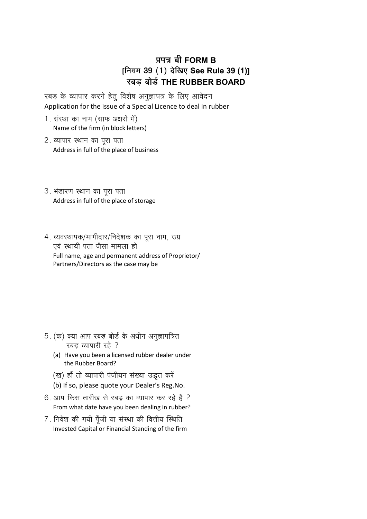## **|É{ÉjÉ ¤ÉÒ FORM B**  $[$ नियम 39 (1) देखिए See Rule 39 (1)] **®ú¤Éc÷ ¤ÉÉäbÇ÷ THE RUBBER BOARD**

रबड़ के व्यापार करने हेतु विशेष अनुज्ञापत्र के लिए आवेदन Application for the issue of a Special Licence to deal in rubber

- 1. संस्था का नाम (साफ अक्षरों में) Name of the firm (in block letters)
- 2. व्यापार स्थान का पूरा पता Address in full of the place of business
- 3. भंडारण स्थान का पूरा पता Address in full of the place of storage
- 4. व्यवस्थापक/भागीदार/निदेशक का पूरा नाम, उम्र एवं स्थायी पता जैसा मामला हो Full name, age and permanent address of Proprietor/ Partners/Directors as the case may be

- 5. (क) क्या आप रबड़ बोर्ड के अधीन अनुज्ञापत्रित रबड़ व्यापारी रहे ?
	- (a) Have you been a licensed rubber dealer under the Rubber Board?
	- (ख) हाँ तो व्यापारी पंजीयन संख्या उद्धत करें
	- (b) If so, please quote your Dealer's Reg.No.
- 6. आप किस तारीख से रबड़ का व्यापार कर रहे हैं ? From what date have you been dealing in rubber?
- 7. निवेश की गयी पूँजी या संस्था की वित्तीय स्थिति Invested Capital or Financial Standing of the firm